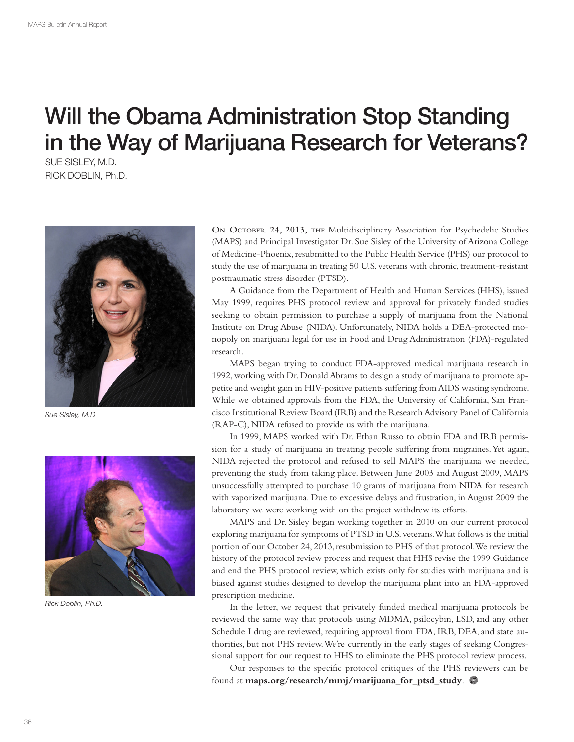# Will the Obama Administration Stop Standing in the Way of Marijuana Research for Veterans?

SUE SISLEY, M.D. RICK DOBLIN, Ph.D.



Sue Sisley, M.D.



Rick Doblin, Ph.D.

**ON OCTOBER 24, 2013, THE** Multidisciplinary Association for Psychedelic Studies (MAPS) and Principal Investigator Dr. Sue Sisley of the University of Arizona College of Medicine-Phoenix, resubmitted to the Public Health Service (PHS) our protocol to study the use of marijuana in treating 50 U.S. veterans with chronic, treatment-resistant posttraumatic stress disorder (PTSD).

A Guidance from the Department of Health and Human Services (HHS), issued May 1999, requires PHS protocol review and approval for privately funded studies seeking to obtain permission to purchase a supply of marijuana from the National Institute on Drug Abuse (NIDA). Unfortunately, NIDA holds a DEA-protected monopoly on marijuana legal for use in Food and Drug Administration (FDA)-regulated research.

MAPS began trying to conduct FDA-approved medical marijuana research in 1992, working with Dr. Donald Abrams to design a study of marijuana to promote appetite and weight gain in HIV-positive patients suffering from AIDS wasting syndrome. While we obtained approvals from the FDA, the University of California, San Francisco Institutional Review Board (IRB) and the Research Advisory Panel of California (RAP-C), NIDA refused to provide us with the marijuana.

In 1999, MAPS worked with Dr. Ethan Russo to obtain FDA and IRB permission for a study of marijuana in treating people suffering from migraines. Yet again, NIDA rejected the protocol and refused to sell MAPS the marijuana we needed, preventing the study from taking place. Between June 2003 and August 2009, MAPS unsuccessfully attempted to purchase 10 grams of marijuana from NIDA for research with vaporized marijuana. Due to excessive delays and frustration, in August 2009 the laboratory we were working with on the project withdrew its efforts.

MAPS and Dr. Sisley began working together in 2010 on our current protocol exploring marijuana for symptoms of PTSD in U.S. veterans. What follows is the initial portion of our October 24, 2013, resubmission to PHS of that protocol. We review the history of the protocol review process and request that HHS revise the 1999 Guidance and end the PHS protocol review, which exists only for studies with marijuana and is biased against studies designed to develop the marijuana plant into an FDA-approved prescription medicine.

In the letter, we request that privately funded medical marijuana protocols be reviewed the same way that protocols using MDMA, psilocybin, LSD, and any other Schedule I drug are reviewed, requiring approval from FDA, IRB, DEA, and state authorities, but not PHS review. We're currently in the early stages of seeking Congressional support for our request to HHS to eliminate the PHS protocol review process.

Our responses to the specific protocol critiques of the PHS reviewers can be found at **maps.org/research/mmj/marijuana\_for\_ptsd\_study**.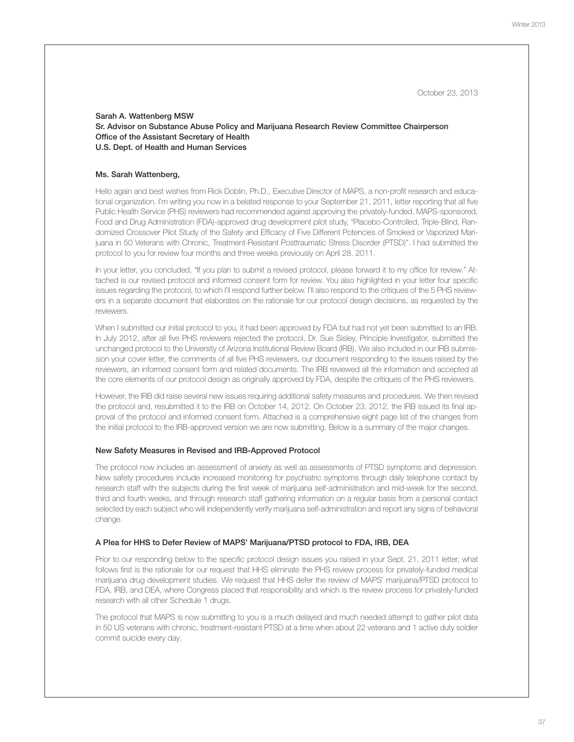October 23, 2013

## Sarah A. Wattenberg MSW Sr. Advisor on Substance Abuse Policy and Marijuana Research Review Committee Chairperson Office of the Assistant Secretary of Health U.S. Dept. of Health and Human Services

## Ms. Sarah Wattenberg,

Hello again and best wishes from Rick Doblin, Ph.D., Executive Director of MAPS, a non-profit research and educational organization. I'm writing you now in a belated response to your September 21, 2011, letter reporting that all five Public Health Service (PHS) reviewers had recommended against approving the privately-funded, MAPS-sponsored, Food and Drug Administration (FDA)-approved drug development pilot study, "Placebo-Controlled, Triple-Blind, Randomized Crossover Pilot Study of the Safety and Efficacy of Five Different Potencies of Smoked or Vaporized Marijuana in 50 Veterans with Chronic, Treatment-Resistant Posttraumatic Stress Disorder (PTSD)". I had submitted the protocol to you for review four months and three weeks previously on April 28, 2011.

In your letter, you concluded, "If you plan to submit a revised protocol, please forward it to my office for review." Attached is our revised protocol and informed consent form for review. You also highlighted in your letter four specific issues regarding the protocol, to which I'll respond further below. I'll also respond to the critiques of the 5 PHS reviewers in a separate document that elaborates on the rationale for our protocol design decisions, as requested by the reviewers.

When I submitted our initial protocol to you, it had been approved by FDA but had not yet been submitted to an IRB. In July 2012, after all five PHS reviewers rejected the protocol, Dr. Sue Sisley, Principle Investigator, submitted the unchanged protocol to the University of Arizona Institutional Review Board (IRB). We also included in our IRB submission your cover letter, the comments of all five PHS reviewers, our document responding to the issues raised by the reviewers, an informed consent form and related documents. The IRB reviewed all the information and accepted all the core elements of our protocol design as originally approved by FDA, despite the critiques of the PHS reviewers.

However, the IRB did raise several new issues requiring additional safety measures and procedures. We then revised the protocol and, resubmitted it to the IRB on October 14, 2012. On October 23, 2012, the IRB issued its final approval of the protocol and informed consent form. Attached is a comprehensive eight page list of the changes from the initial protocol to the IRB-approved version we are now submitting. Below is a summary of the major changes.

#### New Safety Measures in Revised and IRB-Approved Protocol

The protocol now includes an assessment of anxiety as well as assessments of PTSD symptoms and depression. New safety procedures include increased monitoring for psychiatric symptoms through daily telephone contact by research staff with the subjects during the first week of marijuana self-administration and mid-week for the second, third and fourth weeks, and through research staff gathering information on a regular basis from a personal contact selected by each subject who will independently verify marijuana self-administration and report any signs of behavioral change.

### A Plea for HHS to Defer Review of MAPS' Marijuana/PTSD protocol to FDA, IRB, DEA

Prior to our responding below to the specific protocol design issues you raised in your Sept. 21, 2011 letter, what follows first is the rationale for our request that HHS eliminate the PHS review process for privately-funded medical marijuana drug development studies. We request that HHS defer the review of MAPS' marijuana/PTSD protocol to FDA, IRB, and DEA, where Congress placed that responsibility and which is the review process for privately-funded research with all other Schedule 1 drugs.

The protocol that MAPS is now submitting to you is a much delayed and much needed attempt to gather pilot data in 50 US veterans with chronic, treatment-resistant PTSD at a time when about 22 veterans and 1 active duty soldier commit suicide every day.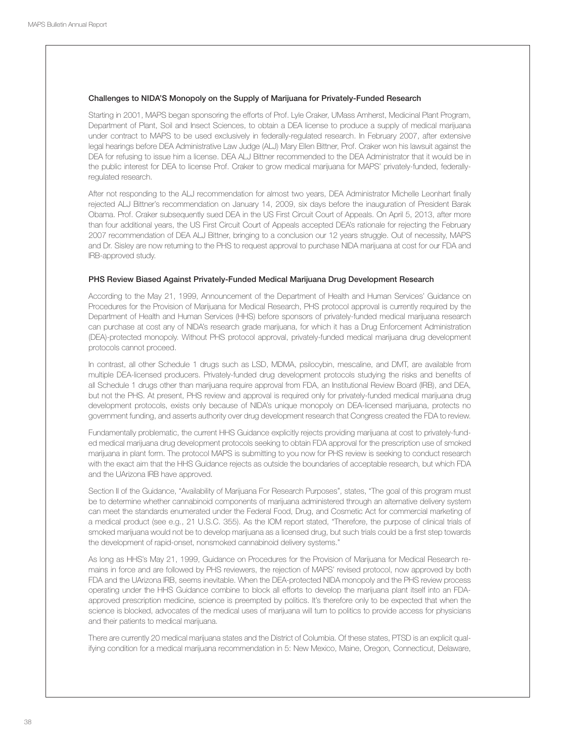## Challenges to NIDA'S Monopoly on the Supply of Marijuana for Privately-Funded Research

Starting in 2001, MAPS began sponsoring the efforts of Prof. Lyle Craker, UMass Amherst, Medicinal Plant Program, Department of Plant, Soil and Insect Sciences, to obtain a DEA license to produce a supply of medical marijuana under contract to MAPS to be used exclusively in federally-regulated research. In February 2007, after extensive legal hearings before DEA Administrative Law Judge (ALJ) Mary Ellen Bittner, Prof. Craker won his lawsuit against the DEA for refusing to issue him a license. DEA ALJ Bittner recommended to the DEA Administrator that it would be in the public interest for DEA to license Prof. Craker to grow medical marijuana for MAPS' privately-funded, federallyregulated research.

After not responding to the ALJ recommendation for almost two years, DEA Administrator Michelle Leonhart finally rejected ALJ Bittner's recommendation on January 14, 2009, six days before the inauguration of President Barak Obama. Prof. Craker subsequently sued DEA in the US First Circuit Court of Appeals. On April 5, 2013, after more than four additional years, the US First Circuit Court of Appeals accepted DEA's rationale for rejecting the February 2007 recommendation of DEA ALJ Bittner, bringing to a conclusion our 12 years struggle. Out of necessity, MAPS and Dr. Sisley are now returning to the PHS to request approval to purchase NIDA marijuana at cost for our FDA and IRB-approved study.

#### PHS Review Biased Against Privately-Funded Medical Marijuana Drug Development Research

According to the May 21, 1999, Announcement of the Department of Health and Human Services' Guidance on Procedures for the Provision of Marijuana for Medical Research, PHS protocol approval is currently required by the Department of Health and Human Services (HHS) before sponsors of privately-funded medical marijuana research can purchase at cost any of NIDA's research grade marijuana, for which it has a Drug Enforcement Administration (DEA)-protected monopoly. Without PHS protocol approval, privately-funded medical marijuana drug development protocols cannot proceed.

In contrast, all other Schedule 1 drugs such as LSD, MDMA, psilocybin, mescaline, and DMT, are available from multiple DEA-licensed producers. Privately-funded drug development protocols studying the risks and benefits of all Schedule 1 drugs other than marijuana require approval from FDA, an Institutional Review Board (IRB), and DEA, but not the PHS. At present, PHS review and approval is required only for privately-funded medical marijuana drug development protocols, exists only because of NIDA's unique monopoly on DEA-licensed marijuana, protects no government funding, and asserts authority over drug development research that Congress created the FDA to review.

Fundamentally problematic, the current HHS Guidance explicitly rejects providing marijuana at cost to privately-funded medical marijuana drug development protocols seeking to obtain FDA approval for the prescription use of smoked marijuana in plant form. The protocol MAPS is submitting to you now for PHS review is seeking to conduct research with the exact aim that the HHS Guidance rejects as outside the boundaries of acceptable research, but which FDA and the UArizona IRB have approved.

Section II of the Guidance, "Availability of Marijuana For Research Purposes", states, "The goal of this program must be to determine whether cannabinoid components of marijuana administered through an alternative delivery system can meet the standards enumerated under the Federal Food, Drug, and Cosmetic Act for commercial marketing of a medical product (see e.g., 21 U.S.C. 355). As the IOM report stated, "Therefore, the purpose of clinical trials of smoked marijuana would not be to develop marijuana as a licensed drug, but such trials could be a first step towards the development of rapid-onset, nonsmoked cannabinoid delivery systems."

As long as HHS's May 21, 1999, Guidance on Procedures for the Provision of Marijuana for Medical Research remains in force and are followed by PHS reviewers, the rejection of MAPS' revised protocol, now approved by both FDA and the UArizona IRB, seems inevitable. When the DEA-protected NIDA monopoly and the PHS review process operating under the HHS Guidance combine to block all efforts to develop the marijuana plant itself into an FDAapproved prescription medicine, science is preempted by politics. It's therefore only to be expected that when the science is blocked, advocates of the medical uses of marijuana will turn to politics to provide access for physicians and their patients to medical marijuana.

There are currently 20 medical marijuana states and the District of Columbia. Of these states, PTSD is an explicit qualifying condition for a medical marijuana recommendation in 5: New Mexico, Maine, Oregon, Connecticut, Delaware,